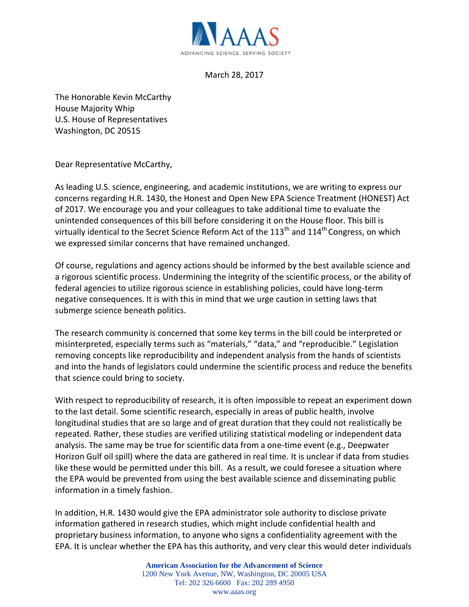

## March 28, 2017

The Honorable Kevin McCarthy House Majority Whip U.S. House of Representatives Washington, DC 20515

Dear Representative McCarthy,

As leading U.S. science, engineering, and academic institutions, we are writing to express our concerns regarding H.R. 1430, the Honest and Open New EPA Science Treatment (HONEST) Act of 2017. We encourage you and your colleagues to take additional time to evaluate the unintended consequences of this bill before considering it on the House floor. This bill is virtually identical to the Secret Science Reform Act of the 113<sup>th</sup> and 114<sup>th</sup> Congress, on which we expressed similar concerns that have remained unchanged.

Of course, regulations and agency actions should be informed by the best available science and a rigorous scientific process. Undermining the integrity of the scientific process, or the ability of federal agencies to utilize rigorous science in establishing policies, could have long-term negative consequences. It is with this in mind that we urge caution in setting laws that submerge science beneath politics.

The research community is concerned that some key terms in the bill could be interpreted or misinterpreted, especially terms such as "materials," "data," and "reproducible." Legislation removing concepts like reproducibility and independent analysis from the hands of scientists and into the hands of legislators could undermine the scientific process and reduce the benefits that science could bring to society.

With respect to reproducibility of research, it is often impossible to repeat an experiment down to the last detail. Some scientific research, especially in areas of public health, involve longitudinal studies that are so large and of great duration that they could not realistically be repeated. Rather, these studies are verified utilizing statistical modeling or independent data analysis. The same may be true for scientific data from a one-time event (e.g., Deepwater Horizon Gulf oil spill) where the data are gathered in real time. It is unclear if data from studies like these would be permitted under this bill. As a result, we could foresee a situation where the EPA would be prevented from using the best available science and disseminating public information in a timely fashion.

In addition, H.R. 1430 would give the EPA administrator sole authority to disclose private information gathered in research studies, which might include confidential health and proprietary business information, to anyone who signs a confidentiality agreement with the EPA. It is unclear whether the EPA has this authority, and very clear this would deter individuals

> **American Association for the Advancement of Science** 1200 New York Avenue, NW, Washington, DC 20005 USA Tel: 202 326 6600 Fax: 202 289 4950 www.aaas.org